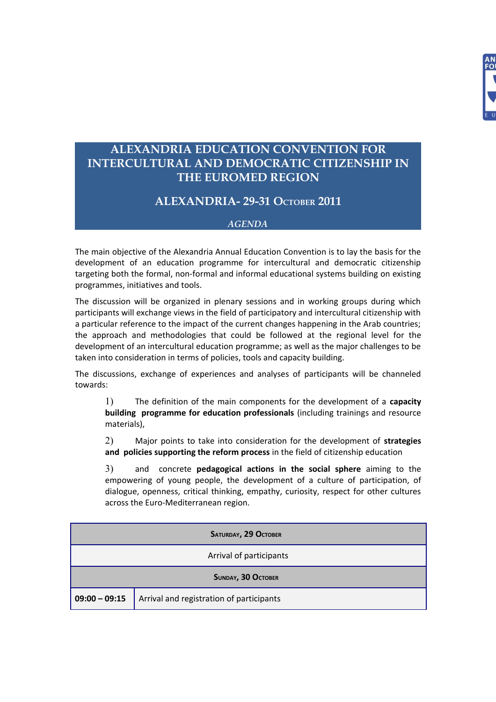

## **ALEXANDRIA EDUCATION CONVENTION FOR INTERCULTURAL AND DEMOCRATIC CITIZENSHIP IN THE EUROMED REGION**

## **ALEXANDRIA- 29-31 OCTOBER 2011**

## *AGENDA*

The main objective of the Alexandria Annual Education Convention is to lay the basis for the development of an education programme for intercultural and democratic citizenship targeting both the formal, non-formal and informal educational systems building on existing programmes, initiatives and tools.

The discussion will be organized in plenary sessions and in working groups during which participants will exchange views in the field of participatory and intercultural citizenship with a particular reference to the impact of the current changes happening in the Arab countries; the approach and methodologies that could be followed at the regional level for the development of an intercultural education programme; as well as the major challenges to be taken into consideration in terms of policies, tools and capacity building.

The discussions, exchange of experiences and analyses of participants will be channeled towards:

1) The definition of the main components for the development of a **capacity building programme for education professionals** (including trainings and resource materials),

2) Major points to take into consideration for the development of **strategies and policies supporting the reform process** in the field of citizenship education

3) and concrete **pedagogical actions in the social sphere** aiming to the empowering of young people, the development of a culture of participation, of dialogue, openness, critical thinking, empathy, curiosity, respect for other cultures across the Euro-Mediterranean region.

| <b>SATURDAY, 29 OCTOBER</b> |                                          |  |
|-----------------------------|------------------------------------------|--|
| Arrival of participants     |                                          |  |
| <b>SUNDAY, 30 OCTOBER</b>   |                                          |  |
| $09:00 - 09:15$             | Arrival and registration of participants |  |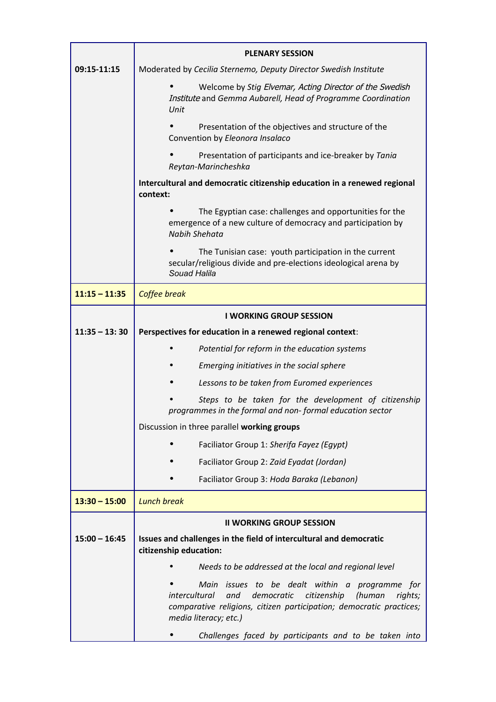|                 | <b>PLENARY SESSION</b>                                                                                                                                                                                                   |
|-----------------|--------------------------------------------------------------------------------------------------------------------------------------------------------------------------------------------------------------------------|
| 09:15-11:15     | Moderated by Cecilia Sternemo, Deputy Director Swedish Institute                                                                                                                                                         |
|                 | Welcome by Stig Elvemar, Acting Director of the Swedish<br>Institute and Gemma Aubarell, Head of Programme Coordination<br>Unit                                                                                          |
|                 | Presentation of the objectives and structure of the<br>Convention by Eleonora Insalaco                                                                                                                                   |
|                 | Presentation of participants and ice-breaker by Tania<br>Reytan-Marincheshka                                                                                                                                             |
|                 | Intercultural and democratic citizenship education in a renewed regional<br>context:                                                                                                                                     |
|                 | The Egyptian case: challenges and opportunities for the<br>emergence of a new culture of democracy and participation by<br>Nabih Shehata                                                                                 |
|                 | The Tunisian case: youth participation in the current<br>secular/religious divide and pre-elections ideological arena by<br>Souad Halila                                                                                 |
| $11:15 - 11:35$ | Coffee break                                                                                                                                                                                                             |
|                 | <b>I WORKING GROUP SESSION</b>                                                                                                                                                                                           |
| $11:35 - 13:30$ | Perspectives for education in a renewed regional context:                                                                                                                                                                |
|                 | Potential for reform in the education systems                                                                                                                                                                            |
|                 | Emerging initiatives in the social sphere                                                                                                                                                                                |
|                 | Lessons to be taken from Euromed experiences                                                                                                                                                                             |
|                 | Steps to be taken for the development of citizenship<br>programmes in the formal and non-formal education sector                                                                                                         |
|                 | Discussion in three parallel working groups                                                                                                                                                                              |
|                 | Faciliator Group 1: Sherifa Fayez (Eqypt)                                                                                                                                                                                |
|                 | Faciliator Group 2: Zaid Eyadat (Jordan)                                                                                                                                                                                 |
|                 | Faciliator Group 3: Hoda Baraka (Lebanon)                                                                                                                                                                                |
| $13:30 - 15:00$ | <b>Lunch break</b>                                                                                                                                                                                                       |
|                 | <b>II WORKING GROUP SESSION</b>                                                                                                                                                                                          |
| $15:00 - 16:45$ | Issues and challenges in the field of intercultural and democratic<br>citizenship education:                                                                                                                             |
|                 | Needs to be addressed at the local and regional level                                                                                                                                                                    |
|                 | Main issues to be dealt within a programme for<br>intercultural<br>democratic<br>citizenship<br>(human<br>rights;<br>and<br>comparative religions, citizen participation; democratic practices;<br>media literacy; etc.) |
|                 | Challenges faced by participants and to be taken into                                                                                                                                                                    |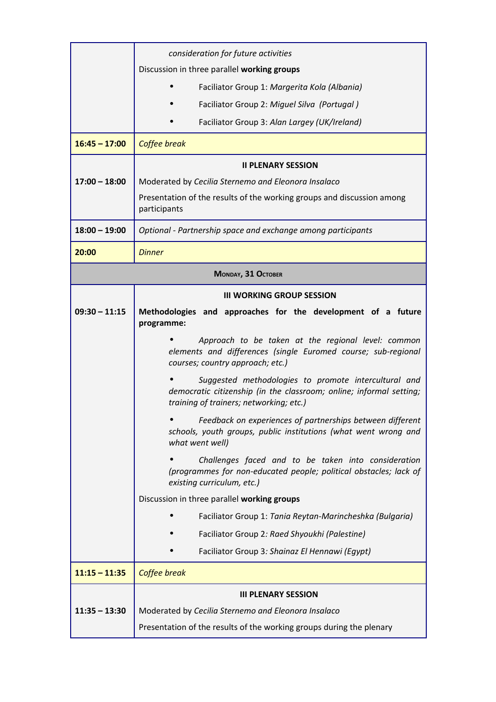|                    | consideration for future activities                                                                                                                                    |  |
|--------------------|------------------------------------------------------------------------------------------------------------------------------------------------------------------------|--|
|                    | Discussion in three parallel working groups                                                                                                                            |  |
|                    | Faciliator Group 1: Margerita Kola (Albania)                                                                                                                           |  |
|                    | Faciliator Group 2: Miguel Silva (Portugal)                                                                                                                            |  |
|                    | Faciliator Group 3: Alan Largey (UK/Ireland)                                                                                                                           |  |
| $16:45 - 17:00$    | Coffee break                                                                                                                                                           |  |
|                    | <b>II PLENARY SESSION</b>                                                                                                                                              |  |
| $17:00 - 18:00$    | Moderated by Cecilia Sternemo and Eleonora Insalaco                                                                                                                    |  |
|                    | Presentation of the results of the working groups and discussion among<br>participants                                                                                 |  |
| $18:00 - 19:00$    | Optional - Partnership space and exchange among participants                                                                                                           |  |
| 20:00              | <b>Dinner</b>                                                                                                                                                          |  |
| MONDAY, 31 OCTOBER |                                                                                                                                                                        |  |
|                    | <b>III WORKING GROUP SESSION</b>                                                                                                                                       |  |
| $09:30 - 11:15$    | Methodologies and approaches for the development of a future<br>programme:                                                                                             |  |
|                    | Approach to be taken at the regional level: common<br>elements and differences (single Euromed course; sub-regional<br>courses; country approach; etc.)                |  |
|                    | Suggested methodologies to promote intercultural and<br>democratic citizenship (in the classroom; online; informal setting;<br>training of trainers; networking; etc.) |  |
|                    | Feedback on experiences of partnerships between different<br>schools, youth groups, public institutions (what went wrong and<br>what went well)                        |  |
|                    | Challenges faced and to be taken into consideration<br>(programmes for non-educated people; political obstacles; lack of<br>existing curriculum, etc.)                 |  |
|                    | Discussion in three parallel working groups                                                                                                                            |  |
|                    | Faciliator Group 1: Tania Reytan-Marincheshka (Bulgaria)                                                                                                               |  |
|                    | Faciliator Group 2: Raed Shyoukhi (Palestine)                                                                                                                          |  |
|                    | Faciliator Group 3: Shainaz El Hennawi (Egypt)                                                                                                                         |  |
| $11:15 - 11:35$    | Coffee break                                                                                                                                                           |  |
|                    | <b>III PLENARY SESSION</b>                                                                                                                                             |  |
| $11:35 - 13:30$    | Moderated by Cecilia Sternemo and Eleonora Insalaco                                                                                                                    |  |
|                    | Presentation of the results of the working groups during the plenary                                                                                                   |  |